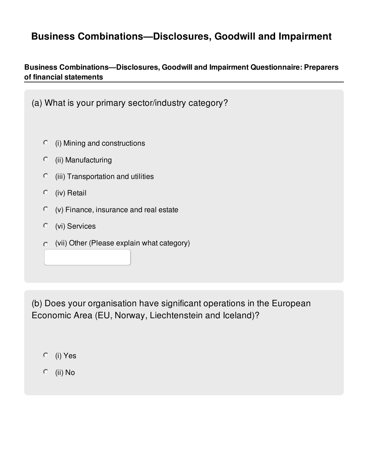# **Business Combinations—Disclosures, Goodwill and Impairment**

## **Business Combinations—Disclosures, Goodwill and Impairment Questionnaire: Preparers of financial statements**

| (a) What is your primary sector/industry category?    |
|-------------------------------------------------------|
| $\circ$<br>(i) Mining and constructions               |
| $\circ$<br>(ii) Manufacturing                         |
| $\circ$<br>(iii) Transportation and utilities         |
| (iv) Retail<br>$\circ$                                |
| $\circ$<br>(v) Finance, insurance and real estate     |
| (vi) Services<br>$\circ$                              |
| (vii) Other (Please explain what category)<br>$\circ$ |
|                                                       |
|                                                       |

(b) Does your organisation have significant operations in the European Economic Area (EU, Norway, Liechtenstein and Iceland)?

- (i) Yes
- (ii) No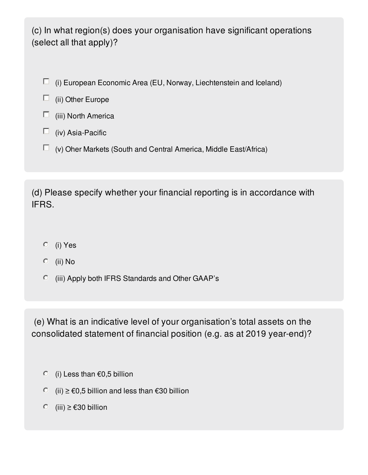(c) In what region(s) does your organisation have significant operations (select all that apply)?

- $\Box$  (i) European Economic Area (EU, Norway, Liechtenstein and Iceland)
- $\Box$  (ii) Other Europe
- $\Box$  (iii) North America
- $\Box$  (iv) Asia-Pacific
- $\Box$  (v) Oher Markets (South and Central America, Middle East/Africa)

(d) Please specify whether your financial reporting is in accordance with IFRS.

- (i) Yes
- $\circ$  (ii) No
- (iii) Apply both IFRS Standards and Other GAAP's

(e) What is an indicative level of your organisation's total assets on the consolidated statement of financial position (e.g. as at 2019 year-end)?

- $\circ$  (i) Less than  $\epsilon$ 0,5 billion
- $\textcircled{i}$  (ii) ≥ €0,5 billion and less than €30 billion
- $\circ$  (iii) ≥ €30 billion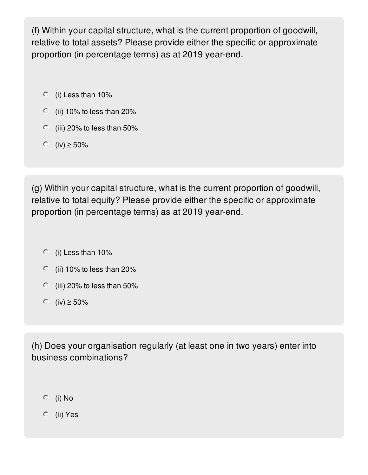(f) Within your capital structure, what is the current proportion of goodwill, relative to total assets? Please provide either the specific or approximate proportion (in percentage terms) as at 2019 year-end.

- $\circ$  (i) Less than 10%
- $\degree$  (ii) 10% to less than 20%
- $\degree$  (iii) 20% to less than 50%
- $\circ$  (iv) ≥ 50%

(g) Within your capital structure, what is the current proportion of goodwill, relative to total equity? Please provide either the specific or approximate proportion (in percentage terms) as at 2019 year-end.

- $\circ$  (i) Less than 10%
- $\degree$  (ii) 10% to less than 20%
- $\degree$  (iii) 20% to less than 50%
- $\circ$  (iv) ≥ 50%

(h) Does your organisation regularly (at least one in two years) enter into business combinations?

- $O$  (i) No
- (ii) Yes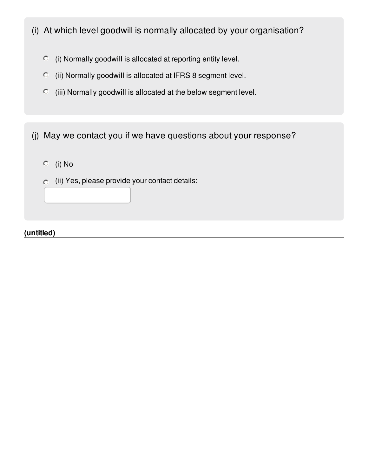- (i) At which level goodwill is normally allocated by your organisation?
	- $\degree$  (i) Normally goodwill is allocated at reporting entity level.
	- (ii) Normally goodwill is allocated at IFRS 8 segment level.
	- $\degree$  (iii) Normally goodwill is allocated at the below segment level.

(j) May we contact you if we have questions about your response?

- $O$  (i) No
- $\circ$  (ii) Yes, please provide your contact details:

**(untitled)**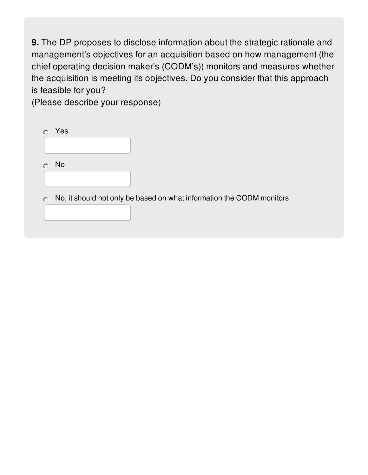**9.** The DP proposes to disclose information about the strategic rationale and management's objectives for an acquisition based on how management (the chief operating decision maker's (CODM's)) monitors and measures whether the acquisition is meeting its objectives. Do you consider that this approach is feasible for you?

(Please describe your response)

|           | Yes                                                                   |  |
|-----------|-----------------------------------------------------------------------|--|
|           |                                                                       |  |
|           | No.                                                                   |  |
|           |                                                                       |  |
| $\bigcap$ | No, it should not only be based on what information the CODM monitors |  |
|           |                                                                       |  |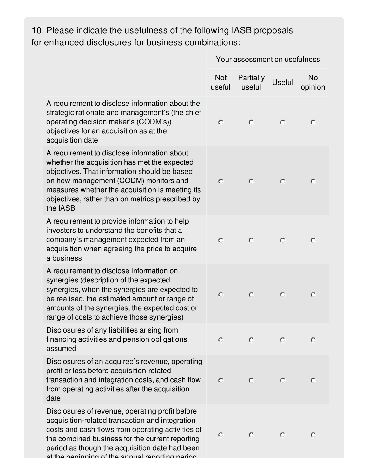# 10. Please indicate the usefulness of the following IASB proposals for enhanced disclosures for business combinations:

|                                                                                                                                                                                                                                                                                                                 | Your assessment on usefulness |                     |               |               |
|-----------------------------------------------------------------------------------------------------------------------------------------------------------------------------------------------------------------------------------------------------------------------------------------------------------------|-------------------------------|---------------------|---------------|---------------|
|                                                                                                                                                                                                                                                                                                                 | <b>Not</b><br>useful          | Partially<br>useful | <b>Useful</b> | No<br>opinion |
| A requirement to disclose information about the<br>strategic rationale and management's (the chief<br>operating decision maker's (CODM's))<br>objectives for an acquisition as at the<br>acquisition date                                                                                                       | $\circ$                       | $\circ$             | $\circ$       | $\circ$       |
| A requirement to disclose information about<br>whether the acquisition has met the expected<br>objectives. That information should be based<br>on how management (CODM) monitors and<br>measures whether the acquisition is meeting its<br>objectives, rather than on metrics prescribed by<br>the IASB         | $\circ$                       | $\circ$             | $\circ$       | $\bigcirc$    |
| A requirement to provide information to help<br>investors to understand the benefits that a<br>company's management expected from an<br>acquisition when agreeing the price to acquire<br>a business                                                                                                            | $\circ$                       | $\circ$             | $\circ$       | $\circ$       |
| A requirement to disclose information on<br>synergies (description of the expected<br>synergies, when the synergies are expected to<br>be realised, the estimated amount or range of<br>amounts of the synergies, the expected cost or<br>range of costs to achieve those synergies)                            | $\circ$                       | $\circ$             | $\circ$       | $\circ$       |
| Disclosures of any liabilities arising from<br>financing activities and pension obligations<br>assumed                                                                                                                                                                                                          | $\bigcirc$                    | $\bigcap$           | $\bigcap$     | O             |
| Disclosures of an acquiree's revenue, operating<br>profit or loss before acquisition-related<br>transaction and integration costs, and cash flow<br>from operating activities after the acquisition<br>date                                                                                                     | $\circ$                       | $\circ$             | $\circ$       | $\bigcirc$    |
| Disclosures of revenue, operating profit before<br>acquisition-related transaction and integration<br>costs and cash flows from operating activities of<br>the combined business for the current reporting<br>period as though the acquisition date had been<br>at the heginning of the annual reporting period | $\circ$                       | $\bigcirc$          | $\circ$       | O             |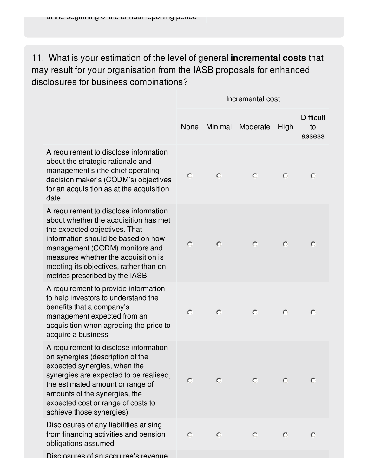11. What is your estimation of the level of general **incremental costs** that may result for your organisation from the IASB proposals for enhanced disclosures for business combinations?

A requirement to disclose information about the strategic rationale and management's (the chief operating decision maker's (CODM's) objectives for an acquisition as at the acquisition date

A requirement to disclose information about whether the acquisition has met the expected objectives. That information should be based on how management (CODM) monitors and measures whether the acquisition is meeting its objectives, rather than on metrics prescribed by the IASB

A requirement to provide information to help investors to understand the benefits that a company's management expected from an acquisition when agreeing the price to acquire a business

A requirement to disclose information on synergies (description of the expected synergies, when the synergies are expected to be realised, the estimated amount or range of amounts of the synergies, the expected cost or range of costs to achieve those synergies)

Disclosures of any liabilities arising from financing activities and pension obligations assumed

Disclosures of an acquiree's revenue.

|                |                          | Incremental cost           |                          |                                  |
|----------------|--------------------------|----------------------------|--------------------------|----------------------------------|
|                |                          | None Minimal Moderate High |                          | <b>Difficult</b><br>to<br>assess |
| $\overline{O}$ | $\circ$                  | $\circ$                    | $\circ$                  | $\circ$                          |
| $\circ$        | $\circ$                  | $\circ$                    | $\circ$                  | $\circ$                          |
| $\overline{O}$ | $\circ$                  | $\bullet$                  | $\circ$                  | $\circ$                          |
| $\circ$        | $\overline{\phantom{0}}$ | $\bullet$                  | $\overline{\phantom{0}}$ | $\circ$                          |
| $\bigcirc$     | $\overline{\mathbf{C}}$  | $\overline{\mathbf{C}}$    | $\overline{\phantom{0}}$ | $\overline{\phantom{0}}$         |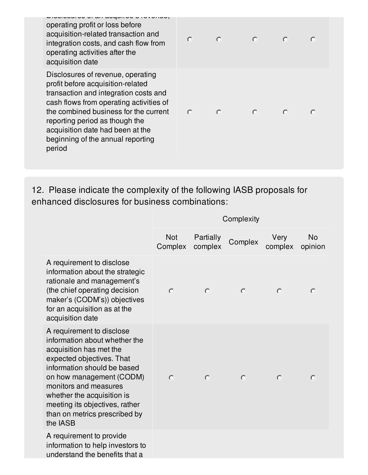Disclosures of an acquiree's revenue, operating profit or loss before acquisition-related transaction and integration costs, and cash flow from operating activities after the acquisition date

Disclosures of revenue, operating profit before acquisition-related transaction and integration costs and cash flows from operating activities of the combined business for the current reporting period as though the acquisition date had been at the beginning of the annual reporting period

|         | $\circ$ $\circ$          | $\bullet$ |                               |  |
|---------|--------------------------|-----------|-------------------------------|--|
| $\circ$ | $\overline{\mathcal{O}}$ | $\bullet$ | $\overline{O}$ $\overline{O}$ |  |

12. Please indicate the complexity of the following IASB proposals for enhanced disclosures for business combinations:

|                                                                                                                                                                                                                                                                                                                     | Complexity            |                      |         |                 |                      |
|---------------------------------------------------------------------------------------------------------------------------------------------------------------------------------------------------------------------------------------------------------------------------------------------------------------------|-----------------------|----------------------|---------|-----------------|----------------------|
|                                                                                                                                                                                                                                                                                                                     | <b>Not</b><br>Complex | Partially<br>complex | Complex | Very<br>complex | <b>No</b><br>opinion |
| A requirement to disclose<br>information about the strategic<br>rationale and management's<br>(the chief operating decision<br>maker's (CODM's)) objectives<br>for an acquisition as at the<br>acquisition date                                                                                                     | $\circ$               | $\circ$              | $\circ$ | $\circ$         | $\circ$              |
| A requirement to disclose<br>information about whether the<br>acquisition has met the<br>expected objectives. That<br>information should be based<br>on how management (CODM)<br>monitors and measures<br>whether the acquisition is<br>meeting its objectives, rather<br>than on metrics prescribed by<br>the IASB | $\circ$               | $\bigcirc$           | $\circ$ | $\circ$         | $\circ$              |
| A requirement to provide<br>information to help investors to<br>understand the benefits that a                                                                                                                                                                                                                      |                       |                      |         |                 |                      |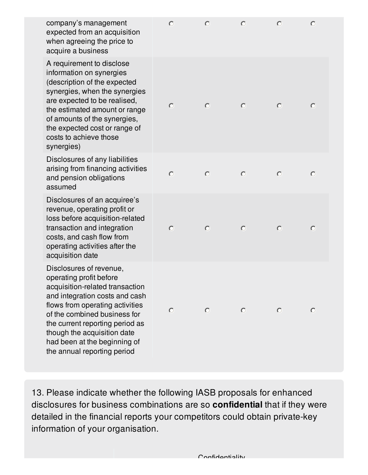| company's management<br>expected from an acquisition<br>when agreeing the price to<br>acquire a business                                                                                                                                                                                                                    | $\circ$ | $\circ$ | $\circ$ | $\circ$ | $\circ$ |
|-----------------------------------------------------------------------------------------------------------------------------------------------------------------------------------------------------------------------------------------------------------------------------------------------------------------------------|---------|---------|---------|---------|---------|
| A requirement to disclose<br>information on synergies<br>(description of the expected<br>synergies, when the synergies<br>are expected to be realised,<br>the estimated amount or range<br>of amounts of the synergies,<br>the expected cost or range of<br>costs to achieve those<br>synergies)                            | $\circ$ | $\circ$ | $\circ$ | $\circ$ | $\circ$ |
| Disclosures of any liabilities<br>arising from financing activities<br>and pension obligations<br>assumed                                                                                                                                                                                                                   | $\circ$ | $\circ$ | $\circ$ | $\circ$ | $\circ$ |
| Disclosures of an acquiree's<br>revenue, operating profit or<br>loss before acquisition-related<br>transaction and integration<br>costs, and cash flow from<br>operating activities after the<br>acquisition date                                                                                                           | $\circ$ | $\circ$ | $\circ$ | $\circ$ | $\circ$ |
| Disclosures of revenue,<br>operating profit before<br>acquisition-related transaction<br>and integration costs and cash<br>flows from operating activities<br>of the combined business for<br>the current reporting period as<br>though the acquisition date<br>had been at the beginning of<br>the annual reporting period | $\circ$ | $\circ$ | $\circ$ | $\circ$ | $\circ$ |

13. Please indicate whether the following IASB proposals for enhanced disclosures for business combinations are so **confidential** that if they were detailed in the financial reports your competitors could obtain private-key information of your organisation.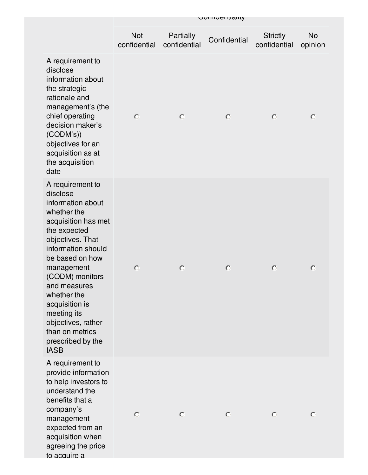|                                                                                                                                                                                                                                                                                                                                                    |                            |                           | <b>UUIIIUU</b> IIIIaIII |                                 |               |
|----------------------------------------------------------------------------------------------------------------------------------------------------------------------------------------------------------------------------------------------------------------------------------------------------------------------------------------------------|----------------------------|---------------------------|-------------------------|---------------------------------|---------------|
|                                                                                                                                                                                                                                                                                                                                                    | <b>Not</b><br>confidential | Partially<br>confidential | Confidential            | <b>Strictly</b><br>confidential | No<br>opinion |
| A requirement to<br>disclose<br>information about<br>the strategic<br>rationale and<br>management's (the<br>chief operating<br>decision maker's<br>(CODM's)<br>objectives for an<br>acquisition as at<br>the acquisition<br>date                                                                                                                   | $\circ$                    | $\circ$                   | $\circ$                 | $\circ$                         | $\circ$       |
| A requirement to<br>disclose<br>information about<br>whether the<br>acquisition has met<br>the expected<br>objectives. That<br>information should<br>be based on how<br>management<br>(CODM) monitors<br>and measures<br>whether the<br>acquisition is<br>meeting its<br>objectives, rather<br>than on metrics<br>prescribed by the<br><b>IASB</b> | $\circ$                    | $\circ$                   | $\circ$                 | $\circ$                         | $\circ$       |
| A requirement to<br>provide information<br>to help investors to<br>understand the<br>benefits that a<br>company's<br>management<br>expected from an<br>acquisition when<br>agreeing the price<br>to acquire a                                                                                                                                      | $\circ$                    | $\circ$                   | $\circ$                 | $\circ$                         | $\circ$       |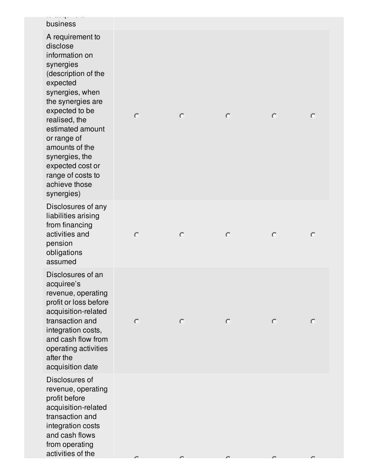| business<br>A requirement to<br>disclose<br>information on<br>synergies<br>(description of the<br>expected<br>synergies, when<br>the synergies are<br>expected to be<br>realised, the<br>estimated amount<br>or range of<br>amounts of the<br>synergies, the<br>expected cost or<br>range of costs to<br>achieve those<br>synergies) | $\circ$ | $\circ$ | $\circ$ | $\circ$ | $\circ$ |
|--------------------------------------------------------------------------------------------------------------------------------------------------------------------------------------------------------------------------------------------------------------------------------------------------------------------------------------|---------|---------|---------|---------|---------|
| Disclosures of any<br>liabilities arising<br>from financing<br>activities and<br>pension<br>obligations<br>assumed                                                                                                                                                                                                                   | $\circ$ | $\circ$ | $\circ$ | $\circ$ | $\circ$ |
| Disclosures of an<br>acquiree's<br>revenue, operating<br>profit or loss before<br>acquisition-related<br>transaction and<br>integration costs,<br>and cash flow from<br>operating activities<br>after the<br>acquisition date                                                                                                        | $\circ$ | $\circ$ | $\circ$ | $\circ$ | $\circ$ |
| Disclosures of<br>revenue, operating<br>profit before<br>acquisition-related<br>transaction and<br>integration costs<br>and cash flows<br>from operating<br>activities of the                                                                                                                                                        |         |         |         |         |         |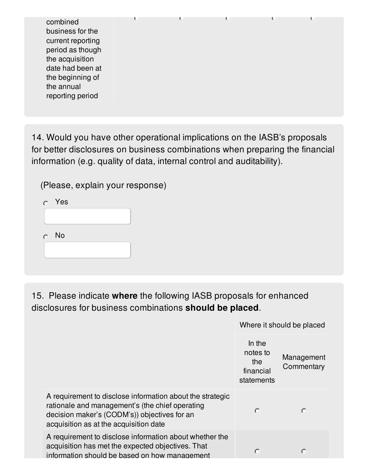| combined<br>business for the<br>current reporting<br>period as though<br>the acquisition<br>date had been at<br>the beginning of<br>the annual<br>reporting period |  | K. |  |
|--------------------------------------------------------------------------------------------------------------------------------------------------------------------|--|----|--|

14. Would you have other operational implications on the IASB's proposals for better disclosures on business combinations when preparing the financial information (e.g. quality of data, internal control and auditability).

(Please, explain your response)

| $\bullet$ | Yes        |  |
|-----------|------------|--|
|           |            |  |
|           | $\circ$ No |  |
|           |            |  |

15. Please indicate **where** the following IASB proposals for enhanced disclosures for business combinations **should be placed**.

Where it should be placed In the notes to Management the **Commentary** financial statements A requirement to disclose information about the strategic rationale and management's (the chief operating  $\bigcirc$  $\bigcirc$ decision maker's (CODM's)) objectives for an acquisition as at the acquisition date A requirement to disclose information about whether the acquisition has met the expected objectives. That  $\circ$  $\circ$ information should be based on how management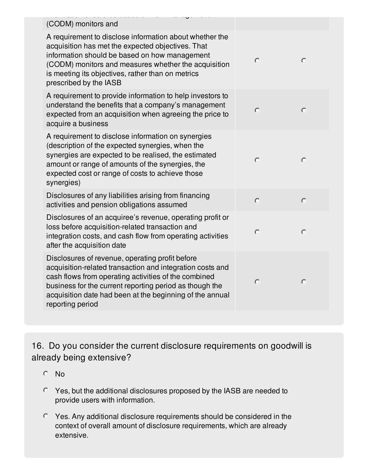| (CODM) monitors and                                                                                                                                                                                                                                                                                             |                |         |
|-----------------------------------------------------------------------------------------------------------------------------------------------------------------------------------------------------------------------------------------------------------------------------------------------------------------|----------------|---------|
| A requirement to disclose information about whether the<br>acquisition has met the expected objectives. That<br>information should be based on how management<br>(CODM) monitors and measures whether the acquisition<br>is meeting its objectives, rather than on metrics<br>prescribed by the IASB            | $\circ$        | $\circ$ |
| A requirement to provide information to help investors to<br>understand the benefits that a company's management<br>expected from an acquisition when agreeing the price to<br>acquire a business                                                                                                               | $\circ$        | $\circ$ |
| A requirement to disclose information on synergies<br>(description of the expected synergies, when the<br>synergies are expected to be realised, the estimated<br>amount or range of amounts of the synergies, the<br>expected cost or range of costs to achieve those<br>synergies)                            | $\circ$        | $\circ$ |
| Disclosures of any liabilities arising from financing<br>activities and pension obligations assumed                                                                                                                                                                                                             | $\overline{O}$ | $\circ$ |
| Disclosures of an acquiree's revenue, operating profit or<br>loss before acquisition-related transaction and<br>integration costs, and cash flow from operating activities<br>after the acquisition date                                                                                                        | $\circ$        | $\circ$ |
| Disclosures of revenue, operating profit before<br>acquisition-related transaction and integration costs and<br>cash flows from operating activities of the combined<br>business for the current reporting period as though the<br>acquisition date had been at the beginning of the annual<br>reporting period | $\circ$        | $\circ$ |
|                                                                                                                                                                                                                                                                                                                 |                |         |

16. Do you consider the current disclosure requirements on goodwill is already being extensive?

- No
- Yes, but the additional disclosures proposed by the IASB are needed to provide users with information.
- Yes. Any additional disclosure requirements should be considered in the context of overall amount of disclosure requirements, which are already extensive.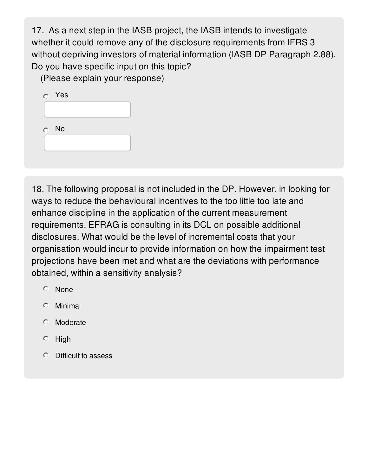17. As a next step in the IASB project, the IASB intends to investigate whether it could remove any of the disclosure requirements from IFRS 3 without depriving investors of material information (IASB DP Paragraph 2.88). Do you have specific input on this topic?

(Please explain your response)

| $\circ$   | Yes |  |
|-----------|-----|--|
|           |     |  |
|           |     |  |
| $\bullet$ | No  |  |
|           |     |  |
|           |     |  |

18. The following proposal is not included in the DP. However, in looking for ways to reduce the behavioural incentives to the too little too late and enhance discipline in the application of the current measurement requirements, EFRAG is consulting in its DCL on possible additional disclosures. What would be the level of incremental costs that your organisation would incur to provide information on how the impairment test projections have been met and what are the deviations with performance obtained, within a sensitivity analysis?

- None
- Minimal
- **C** Moderate
- $O$  High
- $\circ$ Difficult to assess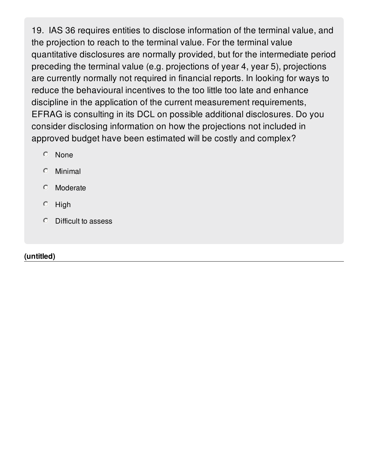19. IAS 36 requires entities to disclose information of the terminal value, and the projection to reach to the terminal value. For the terminal value quantitative disclosures are normally provided, but for the intermediate period preceding the terminal value (e.g. projections of year 4, year 5), projections are currently normally not required in financial reports. In looking for ways to reduce the behavioural incentives to the too little too late and enhance discipline in the application of the current measurement requirements, EFRAG is consulting in its DCL on possible additional disclosures. Do you consider disclosing information on how the projections not included in approved budget have been estimated will be costly and complex?

- None
- Minimal
- $\circ$ Moderate
- $\circ$ High
- Difficult to assess

## **(untitled)**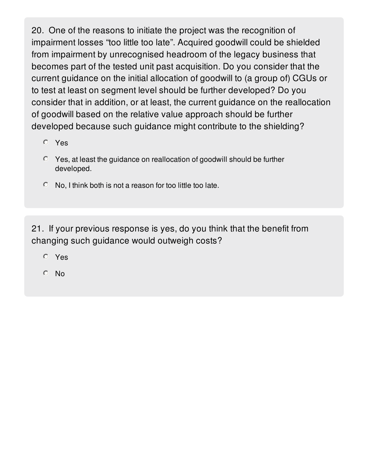20. One of the reasons to initiate the project was the recognition of impairment losses "too little too late". Acquired goodwill could be shielded from impairment by unrecognised headroom of the legacy business that becomes part of the tested unit past acquisition. Do you consider that the current guidance on the initial allocation of goodwill to (a group of) CGUs or to test at least on segment level should be further developed? Do you consider that in addition, or at least, the current guidance on the reallocation of goodwill based on the relative value approach should be further developed because such guidance might contribute to the shielding?

- Yes
- Yes, at least the guidance on reallocation of goodwill should be further developed.
- $\circ$  No, I think both is not a reason for too little too late.

21. If your previous response is yes, do you think that the benefit from changing such guidance would outweigh costs?

- Yes
- $O$  No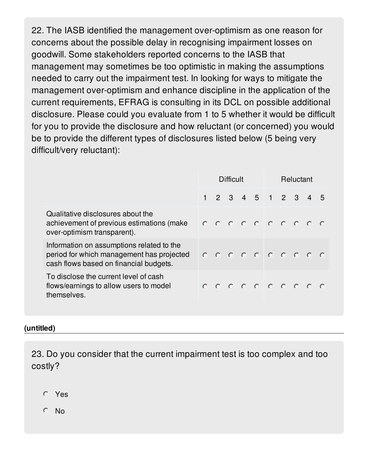22. The IASB identified the management over-optimism as one reason for concerns about the possible delay in recognising impairment losses on goodwill. Some stakeholders reported concerns to the IASB that management may sometimes be too optimistic in making the assumptions needed to carry out the impairment test. In looking for ways to mitigate the management over-optimism and enhance discipline in the application of the current requirements, EFRAG is consulting in its DCL on possible additional disclosure. Please could you evaluate from 1 to 5 whether it would be difficult for you to provide the disclosure and how reluctant (or concerned) you would be to provide the different types of disclosures listed below (5 being very difficult/very reluctant):

|                                                                                                                                  | Difficult |  |  | Reluctant                 |  |  |  |  |     |
|----------------------------------------------------------------------------------------------------------------------------------|-----------|--|--|---------------------------|--|--|--|--|-----|
|                                                                                                                                  |           |  |  | 1 2 3 4 5 1 2 3 4         |  |  |  |  | - 5 |
| Qualitative disclosures about the<br>achievement of previous estimations (make<br>over-optimism transparent).                    |           |  |  | $0 0 0 0 0 0 0 0 0 0 0$   |  |  |  |  |     |
| Information on assumptions related to the<br>period for which management has projected<br>cash flows based on financial budgets. |           |  |  | $0 0 0 0 0 0 0 0 0 0 0 0$ |  |  |  |  |     |
| To disclose the current level of cash<br>flows/earnings to allow users to model<br>themselves.                                   |           |  |  | $0 0 0 0 0 0 0 0 0 0 0$   |  |  |  |  |     |

### **(untitled)**

23. Do you consider that the current impairment test is too complex and too costly?

- Yes
- No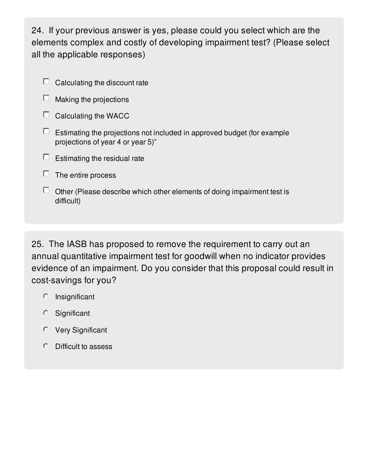24. If your previous answer is yes, please could you select which are the elements complex and costly of developing impairment test? (Please select all the applicable responses)

- $\Box$  Calculating the discount rate
- Making the projections  $\Box$
- $\Box$  Calculating the WACC
- $\Box$  Estimating the projections not included in approved budget (for example projections of year 4 or year 5)"
- $\Box$  Estimating the residual rate
- $\Box$  The entire process
- $\Box$  Other (Please describe which other elements of doing impairment test is difficult)

25. The IASB has proposed to remove the requirement to carry out an annual quantitative impairment test for goodwill when no indicator provides evidence of an impairment. Do you consider that this proposal could result in cost-savings for you?

- $O$  Insignificant
- Significant
- Very Significant
- $O$  Difficult to assess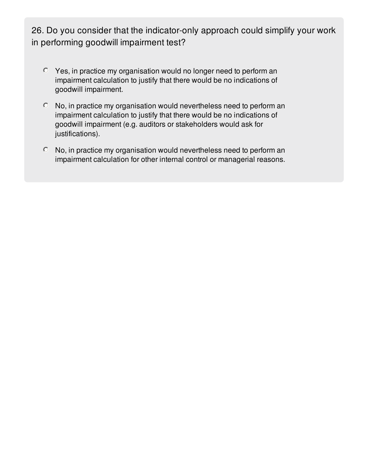26. Do you consider that the indicator-only approach could simplify your work in performing goodwill impairment test?

- Yes, in practice my organisation would no longer need to perform an impairment calculation to justify that there would be no indications of goodwill impairment.
- No, in practice my organisation would nevertheless need to perform an impairment calculation to justify that there would be no indications of goodwill impairment (e.g. auditors or stakeholders would ask for justifications).
- No, in practice my organisation would nevertheless need to perform an impairment calculation for other internal control or managerial reasons.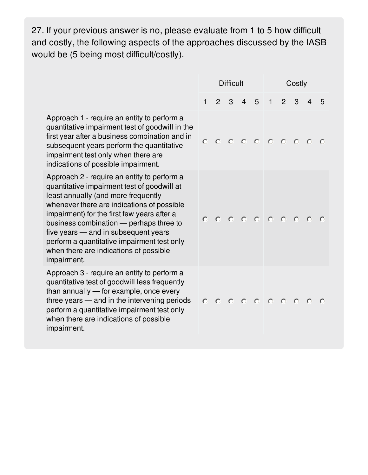27. If your previous answer is no, please evaluate from 1 to 5 how difficult and costly, the following aspects of the approaches discussed by the IASB would be (5 being most difficult/costly).

|                                                                                                                                                                                                                                                                                                                                                                                                                           | <b>Difficult</b> |               |   | Costly         |                                                                                                                      |              |                |   |   |           |
|---------------------------------------------------------------------------------------------------------------------------------------------------------------------------------------------------------------------------------------------------------------------------------------------------------------------------------------------------------------------------------------------------------------------------|------------------|---------------|---|----------------|----------------------------------------------------------------------------------------------------------------------|--------------|----------------|---|---|-----------|
|                                                                                                                                                                                                                                                                                                                                                                                                                           | $\mathbf{1}$     | $\mathcal{P}$ | 3 | $\overline{4}$ | 5                                                                                                                    | $\mathbf{1}$ | $\overline{2}$ | 3 | 4 | 5         |
| Approach 1 - require an entity to perform a<br>quantitative impairment test of goodwill in the<br>first year after a business combination and in<br>subsequent years perform the quantitative<br>impairment test only when there are<br>indications of possible impairment.                                                                                                                                               | $\circ$          |               |   |                | 0 0 0 0 0 0 0 0 0                                                                                                    |              |                |   |   |           |
| Approach 2 - require an entity to perform a<br>quantitative impairment test of goodwill at<br>least annually (and more frequently<br>whenever there are indications of possible<br>impairment) for the first few years after a<br>business combination - perhaps three to<br>five years — and in subsequent years<br>perform a quantitative impairment test only<br>when there are indications of possible<br>impairment. | $\circ$          |               |   |                | $0 0 0 0 0 0 0 0 0 0 0$                                                                                              |              |                |   |   |           |
| Approach 3 - require an entity to perform a<br>quantitative test of goodwill less frequently<br>than annually - for example, once every<br>three years - and in the intervening periods<br>perform a quantitative impairment test only<br>when there are indications of possible<br>impairment.                                                                                                                           | $\circ$          |               |   |                | $\begin{array}{ccccccccccccccccc} \circ & \circ & \circ & \circ & \circ & \circ & \circ & \circ & \circ \end{array}$ |              |                |   |   | $\bigcap$ |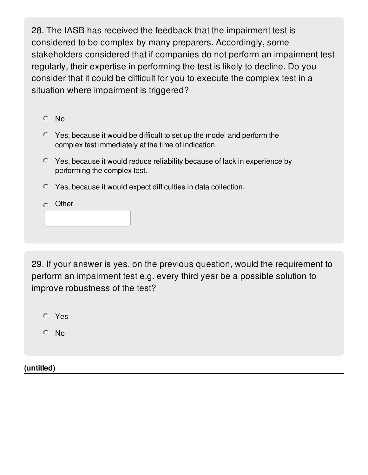28. The IASB has received the feedback that the impairment test is considered to be complex by many preparers. Accordingly, some stakeholders considered that if companies do not perform an impairment test regularly, their expertise in performing the test is likely to decline. Do you consider that it could be difficult for you to execute the complex test in a situation where impairment is triggered?

No

- $\degree$  Yes, because it would be difficult to set up the model and perform the complex test immediately at the time of indication.
- $\degree$  Yes, because it would reduce reliability because of lack in experience by performing the complex test.
- Yes, because it would expect difficulties in data collection.

 $\circ$  Other

29. If your answer is yes, on the previous question, would the requirement to perform an impairment test e.g. every third year be a possible solution to improve robustness of the test?

Yes

No

**(untitled)**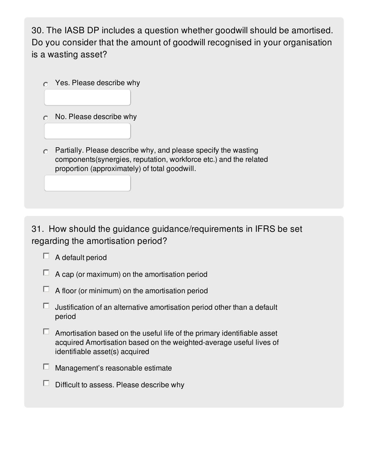30. The IASB DP includes a question whether goodwill should be amortised. Do you consider that the amount of goodwill recognised in your organisation is a wasting asset?

- $\circ$  Yes. Please describe why
- $\circ$  No. Please describe why
- $\circ$  Partially. Please describe why, and please specify the wasting components(synergies, reputation, workforce etc.) and the related proportion (approximately) of total goodwill.

31. How should the guidance guidance/requirements in IFRS be set regarding the amortisation period?

- $\Box$  A default period
- $\Box$  A cap (or maximum) on the amortisation period
- $\Box$  A floor (or minimum) on the amortisation period
- Justification of an alternative amortisation period other than a default  $\Box$ period
- $\Box$  Amortisation based on the useful life of the primary identifiable asset acquired Amortisation based on the weighted-average useful lives of identifiable asset(s) acquired
- $\Box$  Management's reasonable estimate
- $\Box$  Difficult to assess. Please describe why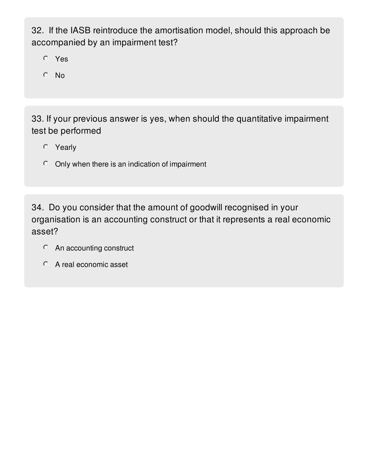32. If the IASB reintroduce the amortisation model, should this approach be accompanied by an impairment test?

Yes

No

33. If your previous answer is yes, when should the quantitative impairment test be performed

- Yearly
- $\circ$  Only when there is an indication of impairment

34. Do you consider that the amount of goodwill recognised in your organisation is an accounting construct or that it represents a real economic asset?

- An accounting construct
- A real economic asset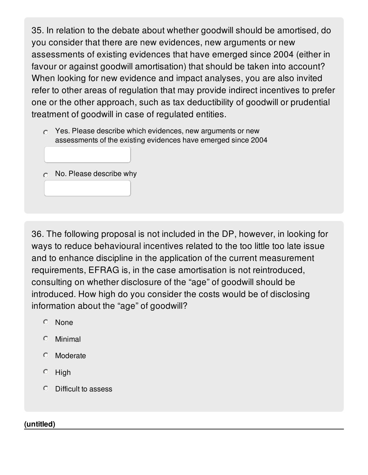35. In relation to the debate about whether goodwill should be amortised, do you consider that there are new evidences, new arguments or new assessments of existing evidences that have emerged since 2004 (either in favour or against goodwill amortisation) that should be taken into account? When looking for new evidence and impact analyses, you are also invited refer to other areas of regulation that may provide indirect incentives to prefer one or the other approach, such as tax deductibility of goodwill or prudential treatment of goodwill in case of regulated entities.

 $\circ$  Yes. Please describe which evidences, new arguments or new assessments of the existing evidences have emerged since 2004

|  |  |  | $\circ$ No. Please describe why |  |
|--|--|--|---------------------------------|--|
|--|--|--|---------------------------------|--|

36. The following proposal is not included in the DP, however, in looking for ways to reduce behavioural incentives related to the too little too late issue and to enhance discipline in the application of the current measurement requirements, EFRAG is, in the case amortisation is not reintroduced, consulting on whether disclosure of the "age" of goodwill should be introduced. How high do you consider the costs would be of disclosing information about the "age" of goodwill?

- None
- $\circ$ Minimal
- Moderate
- $O$  High
- Difficult to assess

### **(untitled)**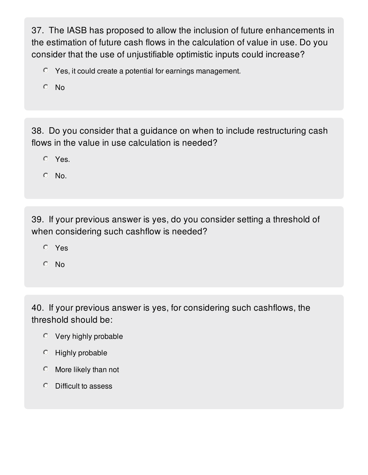37. The IASB has proposed to allow the inclusion of future enhancements in the estimation of future cash flows in the calculation of value in use. Do you consider that the use of unjustifiable optimistic inputs could increase?

- Yes, it could create a potential for earnings management.
- $O$  No

38. Do you consider that a guidance on when to include restructuring cash flows in the value in use calculation is needed?

Yes.

 $O$  No.

39. If your previous answer is yes, do you consider setting a threshold of when considering such cashflow is needed?

- Yes
- No

40. If your previous answer is yes, for considering such cashflows, the threshold should be:

- Very highly probable
- $O$  Highly probable
- $\circ$  More likely than not
- Difficult to assess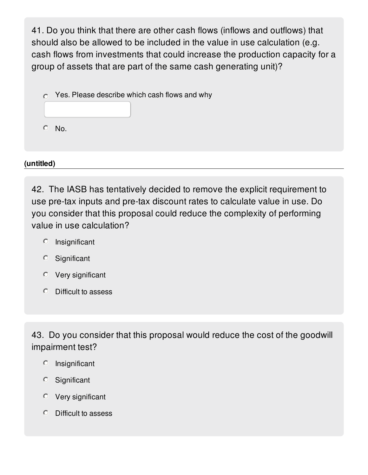41. Do you think that there are other cash flows (inflows and outflows) that should also be allowed to be included in the value in use calculation (e.g. cash flows from investments that could increase the production capacity for a group of assets that are part of the same cash generating unit)?

 $\circ$  Yes. Please describe which cash flows and why

 $O$  No.

**(untitled)**

42. The IASB has tentatively decided to remove the explicit requirement to use pre-tax inputs and pre-tax discount rates to calculate value in use. Do you consider that this proposal could reduce the complexity of performing value in use calculation?

- $O$  Insignificant
- Significant
- Very significant
- Difficult to assess

43. Do you consider that this proposal would reduce the cost of the goodwill impairment test?

- $O$  Insignificant
- Significant
- Very significant
- Difficult to assess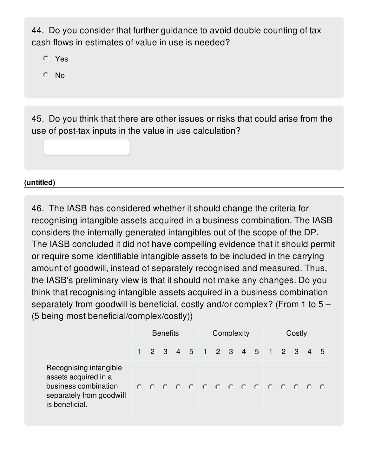44. Do you consider that further guidance to avoid double counting of tax cash flows in estimates of value in use is needed?

- Yes
- No

45. Do you think that there are other issues or risks that could arise from the use of post-tax inputs in the value in use calculation?

### **(untitled)**

46. The IASB has considered whether it should change the criteria for recognising intangible assets acquired in a business combination. The IASB considers the internally generated intangibles out of the scope of the DP. The IASB concluded it did not have compelling evidence that it should permit or require some identifiable intangible assets to be included in the carrying amount of goodwill, instead of separately recognised and measured. Thus, the IASB's preliminary view is that it should not make any changes. Do you think that recognising intangible assets acquired in a business combination separately from goodwill is beneficial, costly and/or complex? (From 1 to 5 – (5 being most beneficial/complex/costly))

|                                                                                                                      | <b>Benefits</b> |  |  | Complexity |  |  |  |  | Costly                        |  |  |  |  |     |
|----------------------------------------------------------------------------------------------------------------------|-----------------|--|--|------------|--|--|--|--|-------------------------------|--|--|--|--|-----|
|                                                                                                                      |                 |  |  |            |  |  |  |  | 1 2 3 4 5 1 2 3 4 5 1 2 3 4   |  |  |  |  | - 5 |
| Recognising intangible<br>assets acquired in a<br>business combination<br>separately from goodwill<br>is beneficial. |                 |  |  |            |  |  |  |  | 0 0 0 0 0 0 0 0 0 0 0 0 0 0 0 |  |  |  |  |     |